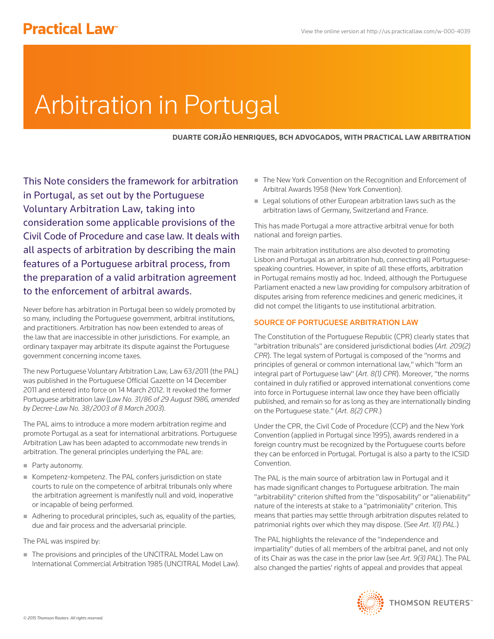# **Practical Law<sup>®</sup>**

# Arbitration in Portugal

**DUARTE GORJÃO HENRIQUES, BCH ADVOGADOS, WITH PRACTICAL LAW ARBITRATION**

This Note considers the framework for arbitration in Portugal, as set out by the Portuguese Voluntary Arbitration Law, taking into consideration some applicable provisions of the Civil Code of Procedure and case law. It deals with all aspects of arbitration by describing the main features of a Portuguese arbitral process, from the preparation of a valid arbitration agreement to the enforcement of arbitral awards.

Never before has arbitration in Portugal been so widely promoted by so many, including the Portuguese government, arbitral institutions, and practitioners. Arbitration has now been extended to areas of the law that are inaccessible in other jurisdictions. For example, an ordinary taxpayer may arbitrate its dispute against the Portuguese government concerning income taxes.

The new Portuguese Voluntary Arbitration Law, Law 63/2011 (the PAL) was published in the Portuguese Official Gazette on 14 December 2011 and entered into force on 14 March 2012. It revoked the former Portuguese arbitration law (*Law No. 31/86 of 29 August 1986, amended by Decree-Law No. 38/2003 of 8 March 2003*).

The PAL aims to introduce a more modern arbitration regime and promote Portugal as a seat for international arbitrations. Portuguese Arbitration Law has been adapted to accommodate new trends in arbitration. The general principles underlying the PAL are:

- Party autonomy.
- Kompetenz-kompetenz. The PAL confers jurisdiction on state courts to rule on the competence of arbitral tribunals only where the arbitration agreement is manifestly null and void, inoperative or incapable of being performed.
- Adhering to procedural principles, such as, equality of the parties, due and fair process and the adversarial principle.

# The PAL was inspired by:

■ The provisions and principles of the UNCITRAL Model Law on International Commercial Arbitration 1985 (UNCITRAL Model Law).

- The New York Convention on the Recognition and Enforcement of Arbitral Awards 1958 (New York Convention).
- Legal solutions of other European arbitration laws such as the arbitration laws of Germany, Switzerland and France.

This has made Portugal a more attractive arbitral venue for both national and foreign parties.

The main arbitration institutions are also devoted to promoting Lisbon and Portugal as an arbitration hub, connecting all Portuguesespeaking countries. However, in spite of all these efforts, arbitration in Portugal remains mostly ad hoc. Indeed, although the Portuguese Parliament enacted a new law providing for compulsory arbitration of disputes arising from reference medicines and generic medicines, it did not compel the litigants to use institutional arbitration.

# SOURCE OF PORTUGUESE ARBITRATION LAW

The Constitution of the Portuguese Republic (CPR) clearly states that "arbitration tribunals" are considered jurisdictional bodies (*Art. 209(2) CPR*). The legal system of Portugal is composed of the "norms and principles of general or common international law," which "form an integral part of Portuguese law" (*Art. 8(1) CPR*). Moreover, "the norms contained in duly ratified or approved international conventions come into force in Portuguese internal law once they have been officially published, and remain so for as long as they are internationally binding on the Portuguese state." (*Art. 8(2) CPR*.)

Under the CPR, the Civil Code of Procedure (CCP) and the New York Convention (applied in Portugal since 1995), awards rendered in a foreign country must be recognized by the Portuguese courts before they can be enforced in Portugal. Portugal is also a party to the ICSID Convention.

The PAL is the main source of arbitration law in Portugal and it has made significant changes to Portuguese arbitration. The main "arbitrability" criterion shifted from the "disposability" or "alienability" nature of the interests at stake to a "patrimoniality" criterion. This means that parties may settle through arbitration disputes related to patrimonial rights over which they may dispose. (See *Art. 1(1) PAL*.)

The PAL highlights the relevance of the "independence and impartiality" duties of all members of the arbitral panel, and not only of its Chair as was the case in the prior law (see *Art. 9(3) PAL*). The PAL also changed the parties' rights of appeal and provides that appeal

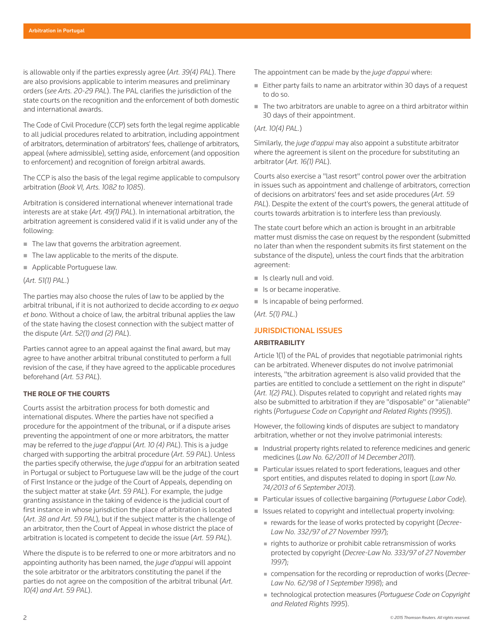is allowable only if the parties expressly agree (*Art. 39(4) PAL*). There are also provisions applicable to interim measures and preliminary orders (*see Arts. 20-29 PAL*). The PAL clarifies the jurisdiction of the state courts on the recognition and the enforcement of both domestic and international awards.

The Code of Civil Procedure (CCP) sets forth the legal regime applicable to all judicial procedures related to arbitration, including appointment of arbitrators, determination of arbitrators' fees, challenge of arbitrators, appeal (where admissible), setting aside, enforcement (and opposition to enforcement) and recognition of foreign arbitral awards.

The CCP is also the basis of the legal regime applicable to compulsory arbitration (*Book VI, Arts. 1082 to 1085*).

Arbitration is considered international whenever international trade interests are at stake (*Art. 49(1) PAL*). In international arbitration, the arbitration agreement is considered valid if it is valid under any of the following:

- The law that governs the arbitration agreement.
- The law applicable to the merits of the dispute.
- Applicable Portuguese law.

(*Art. 51(1) PAL*.)

The parties may also choose the rules of law to be applied by the arbitral tribunal, if it is not authorized to decide according to *ex aequo et bono.* Without a choice of law, the arbitral tribunal applies the law of the state having the closest connection with the subject matter of the dispute (*Art. 52(1) and (2) PAL*).

Parties cannot agree to an appeal against the final award, but may agree to have another arbitral tribunal constituted to perform a full revision of the case, if they have agreed to the applicable procedures beforehand (*Art. 53 PAL*).

# **THE ROLE OF THE COURTS**

Courts assist the arbitration process for both domestic and international disputes. Where the parties have not specified a procedure for the appointment of the tribunal, or if a dispute arises preventing the appointment of one or more arbitrators, the matter may be referred to the *juge d'appui* (*Art. 10 (4) PAL*). This is a judge charged with supporting the arbitral procedure (*Art. 59 PAL*). Unless the parties specify otherwise, the *juge d'appui* for an arbitration seated in Portugal or subject to Portuguese law will be the judge of the court of First Instance or the judge of the Court of Appeals, depending on the subject matter at stake (*Art. 59 PAL*). For example, the judge granting assistance in the taking of evidence is the judicial court of first instance in whose jurisdiction the place of arbitration is located (*Art. 38 and Art. 59 PAL*), but if the subject matter is the challenge of an arbitrator, then the Court of Appeal in whose district the place of arbitration is located is competent to decide the issue (*Art. 59 PAL*).

Where the dispute is to be referred to one or more arbitrators and no appointing authority has been named, the *juge d'appui* will appoint the sole arbitrator or the arbitrators constituting the panel if the parties do not agree on the composition of the arbitral tribunal (*Art. 10(4) and Art. 59 PAL*).

The appointment can be made by the *juge d'appui* where:

- Either party fails to name an arbitrator within 30 days of a request to do so.
- The two arbitrators are unable to agree on a third arbitrator within 30 days of their appointment.

# (*Art. 10(4) PAL.*)

Similarly, the *juge d'appui* may also appoint a substitute arbitrator where the agreement is silent on the procedure for substituting an arbitrator (*Art. 16(1) PAL*).

Courts also exercise a "last resort" control power over the arbitration in issues such as appointment and challenge of arbitrators, correction of decisions on arbitrators' fees and set aside procedures (*Art. 59 PAL*). Despite the extent of the court's powers, the general attitude of courts towards arbitration is to interfere less than previously.

The state court before which an action is brought in an arbitrable matter must dismiss the case on request by the respondent (submitted no later than when the respondent submits its first statement on the substance of the dispute), unless the court finds that the arbitration agreement:

- $\blacksquare$  Is clearly null and void.
- In Is or became inoperative.
- In Is incapable of being performed.

(*Art. 5(1) PAL.*)

# JURISDICTIONAL ISSUES

#### **ARBITRABILITY**

Article 1(1) of the PAL of provides that negotiable patrimonial rights can be arbitrated. Whenever disputes do not involve patrimonial interests, "the arbitration agreement is also valid provided that the parties are entitled to conclude a settlement on the right in dispute" (*Art. 1(2) PAL*). Disputes related to copyright and related rights may also be submitted to arbitration if they are "disposable" or "alienable" rights (*Portuguese Code on Copyright and Related Rights (1995)*).

However, the following kinds of disputes are subject to mandatory arbitration, whether or not they involve patrimonial interests:

- Industrial property rights related to reference medicines and generic medicines (*Law No. 62/2011 of 14 December 2011*).
- Particular issues related to sport federations, leagues and other sport entities, and disputes related to doping in sport (*Law No. 74/2013 of 6 September 2013*).
- Particular issues of collective bargaining (*Portuguese Labor Code*).
- Issues related to copyright and intellectual property involving:
	- rewards for the lease of works protected by copyright (*Decree-Law No. 332/97 of 27 November 1997*);
	- $\blacksquare$  rights to authorize or prohibit cable retransmission of works protected by copyright (*Decree-Law No. 333/97 of 27 November 1997*);
	- compensation for the recording or reproduction of works (*Decree-Law No. 62/98 of 1 September 1998*); and
	- technological protection measures (*Portuguese Code on Copyright and Related Rights 1995*).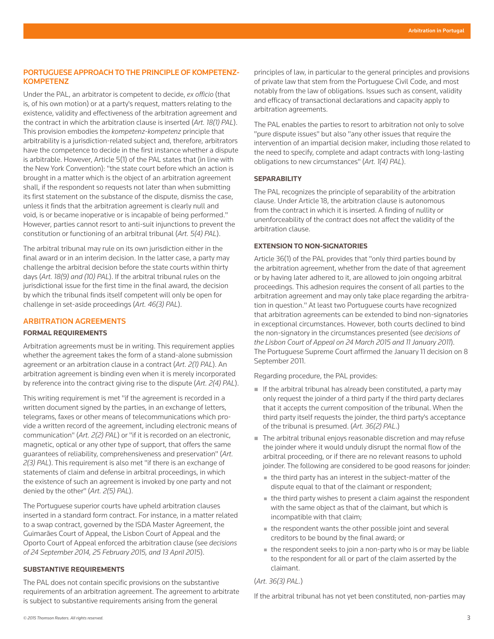# PORTUGUESE APPROACH TO THE PRINCIPLE OF KOMPETENZ-**KOMPETENZ**

Under the PAL, an arbitrator is competent to decide, *ex officio* (that is, of his own motion) or at a party's request, matters relating to the existence, validity and effectiveness of the arbitration agreement and the contract in which the arbitration clause is inserted (*Art. 18(1) PAL*). This provision embodies the *kompetenz-kompetenz* principle that arbitrability is a jurisdiction-related subject and, therefore, arbitrators have the competence to decide in the first instance whether a dispute is arbitrable. However, Article 5(1) of the PAL states that (in line with the New York Convention): "the state court before which an action is brought in a matter which is the object of an arbitration agreement shall, if the respondent so requests not later than when submitting its first statement on the substance of the dispute, dismiss the case, unless it finds that the arbitration agreement is clearly null and void, is or became inoperative or is incapable of being performed." However, parties cannot resort to anti-suit injunctions to prevent the constitution or functioning of an arbitral tribunal (*Art. 5(4) PAL*).

The arbitral tribunal may rule on its own jurisdiction either in the final award or in an interim decision. In the latter case, a party may challenge the arbitral decision before the state courts within thirty days (*Art. 18(9) and (10) PAL*). If the arbitral tribunal rules on the jurisdictional issue for the first time in the final award, the decision by which the tribunal finds itself competent will only be open for challenge in set-aside proceedings (*Art. 46(3) PAL*).

# ARBITRATION AGREEMENTS

### **FORMAL REQUIREMENTS**

Arbitration agreements must be in writing. This requirement applies whether the agreement takes the form of a stand-alone submission agreement or an arbitration clause in a contract (*Art. 2(1) PAL*). An arbitration agreement is binding even when it is merely incorporated by reference into the contract giving rise to the dispute (*Art. 2(4) PAL*).

This writing requirement is met "if the agreement is recorded in a written document signed by the parties, in an exchange of letters, telegrams, faxes or other means of telecommunications which provide a written record of the agreement, including electronic means of communication" (*Art. 2(2) PAL*) or "if it is recorded on an electronic, magnetic, optical or any other type of support, that offers the same guarantees of reliability, comprehensiveness and preservation" (*Art. 2(3) PAL*). This requirement is also met "if there is an exchange of statements of claim and defense in arbitral proceedings, in which the existence of such an agreement is invoked by one party and not denied by the other" (*Art. 2(5) PAL*).

The Portuguese superior courts have upheld arbitration clauses inserted in a standard form contract. For instance, in a matter related to a swap contract, governed by the ISDA Master Agreement, the Guimarães Court of Appeal, the Lisbon Court of Appeal and the Oporto Court of Appeal enforced the arbitration clause (see *decisions of 24 September 2014, 25 February 2015, and 13 April 2015*).

# **SUBSTANTIVE REQUIREMENTS**

The PAL does not contain specific provisions on the substantive requirements of an arbitration agreement. The agreement to arbitrate is subject to substantive requirements arising from the general

principles of law, in particular to the general principles and provisions of private law that stem from the Portuguese Civil Code, and most notably from the law of obligations. Issues such as consent, validity and efficacy of transactional declarations and capacity apply to arbitration agreements.

The PAL enables the parties to resort to arbitration not only to solve "pure dispute issues" but also "any other issues that require the intervention of an impartial decision maker, including those related to the need to specify, complete and adapt contracts with long-lasting obligations to new circumstances" (*Art. 1(4) PAL*).

#### **SEPARABILITY**

The PAL recognizes the principle of separability of the arbitration clause. Under Article 18, the arbitration clause is autonomous from the contract in which it is inserted. A finding of nullity or unenforceability of the contract does not affect the validity of the arbitration clause.

# **EXTENSION TO NON-SIGNATORIES**

Article 36(1) of the PAL provides that "only third parties bound by the arbitration agreement, whether from the date of that agreement or by having later adhered to it, are allowed to join ongoing arbitral proceedings. This adhesion requires the consent of all parties to the arbitration agreement and may only take place regarding the arbitration in question." At least two Portuguese courts have recognized that arbitration agreements can be extended to bind non-signatories in exceptional circumstances. However, both courts declined to bind the non-signatory in the circumstances presented (see *decisions of the Lisbon Court of Appeal on 24 March 2015 and 11 January 2011*). The Portuguese Supreme Court affirmed the January 11 decision on 8 September 2011.

Regarding procedure, the PAL provides:

- If the arbitral tribunal has already been constituted, a party may only request the joinder of a third party if the third party declares that it accepts the current composition of the tribunal. When the third party itself requests the joinder, the third party's acceptance of the tribunal is presumed. (*Art. 36(2) PAL*.)
- The arbitral tribunal enjoys reasonable discretion and may refuse the joinder where it would unduly disrupt the normal flow of the arbitral proceeding, or if there are no relevant reasons to uphold joinder. The following are considered to be good reasons for joinder:
	- the third party has an interest in the subject-matter of the dispute equal to that of the claimant or respondent;
	- the third party wishes to present a claim against the respondent with the same object as that of the claimant, but which is incompatible with that claim;
	- the respondent wants the other possible joint and several creditors to be bound by the final award; or
	- the respondent seeks to join a non-party who is or may be liable to the respondent for all or part of the claim asserted by the claimant.

#### (*Art. 36(3) PAL.*)

If the arbitral tribunal has not yet been constituted, non-parties may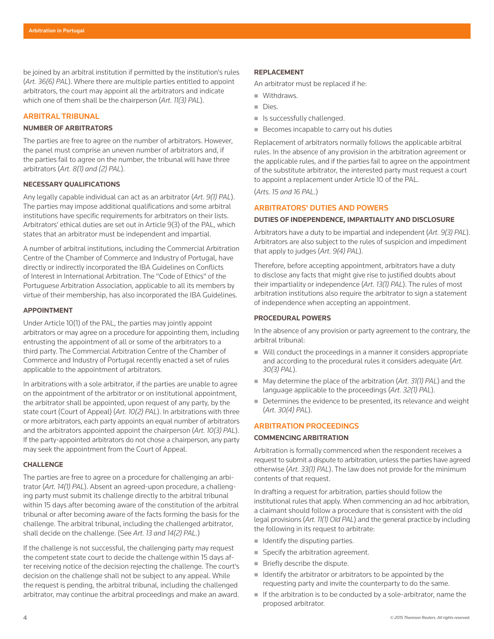be joined by an arbitral institution if permitted by the institution's rules (*Art. 36(6) PAL*). Where there are multiple parties entitled to appoint arbitrators, the court may appoint all the arbitrators and indicate which one of them shall be the chairperson (*Art. 11(3) PAL*).

# ARBITRAL TRIBUNAL

# **NUMBER OF ARBITRATORS**

The parties are free to agree on the number of arbitrators. However, the panel must comprise an uneven number of arbitrators and, if the parties fail to agree on the number, the tribunal will have three arbitrators (*Art. 8(1) and (2) PAL*).

#### **NECESSARY QUALIFICATIONS**

Any legally capable individual can act as an arbitrator (*Art. 9(1) PAL*). The parties may impose additional qualifications and some arbitral institutions have specific requirements for arbitrators on their lists. Arbitrators' ethical duties are set out in Article 9(3) of the PAL, which states that an arbitrator must be independent and impartial.

A number of arbitral institutions, including the Commercial Arbitration Centre of the Chamber of Commerce and Industry of Portugal, have directly or indirectly incorporated the IBA Guidelines on Conflicts of Interest in International Arbitration. The "Code of Ethics" of the Portuguese Arbitration Association, applicable to all its members by virtue of their membership, has also incorporated the IBA Guidelines.

#### **APPOINTMENT**

Under Article 10(1) of the PAL, the parties may jointly appoint arbitrators or may agree on a procedure for appointing them, including entrusting the appointment of all or some of the arbitrators to a third party. The Commercial Arbitration Centre of the Chamber of Commerce and Industry of Portugal recently enacted a set of rules applicable to the appointment of arbitrators.

In arbitrations with a sole arbitrator, if the parties are unable to agree on the appointment of the arbitrator or on institutional appointment, the arbitrator shall be appointed, upon request of any party, by the state court (Court of Appeal) (*Art. 10(2) PAL*). In arbitrations with three or more arbitrators, each party appoints an equal number of arbitrators and the arbitrators appointed appoint the chairperson (*Art. 10(3) PAL*). If the party-appointed arbitrators do not chose a chairperson, any party may seek the appointment from the Court of Appeal.

#### **CHALLENGE**

The parties are free to agree on a procedure for challenging an arbitrator (*Art. 14(1) PAL*). Absent an agreed-upon procedure, a challenging party must submit its challenge directly to the arbitral tribunal within 15 days after becoming aware of the constitution of the arbitral tribunal or after becoming aware of the facts forming the basis for the challenge. The arbitral tribunal, including the challenged arbitrator, shall decide on the challenge. (See *Art. 13 and 14(2) PAL.*)

If the challenge is not successful, the challenging party may request the competent state court to decide the challenge within 15 days after receiving notice of the decision rejecting the challenge. The court's decision on the challenge shall not be subject to any appeal. While the request is pending, the arbitral tribunal, including the challenged arbitrator, may continue the arbitral proceedings and make an award.

An arbitrator must be replaced if he:

- **Withdraws.**
- **Dies.**
- $\blacksquare$  Is successfully challenged.
- Becomes incapable to carry out his duties

Replacement of arbitrators normally follows the applicable arbitral rules. In the absence of any provision in the arbitration agreement or the applicable rules, and if the parties fail to agree on the appointment of the substitute arbitrator, the interested party must request a court to appoint a replacement under Article 10 of the PAL.

(*Arts. 15 and 16 PAL*.)

# ARBITRATORS' DUTIES AND POWERS

#### **DUTIES OF INDEPENDENCE, IMPARTIALITY AND DISCLOSURE**

Arbitrators have a duty to be impartial and independent (*Art. 9(3) PAL*). Arbitrators are also subject to the rules of suspicion and impediment that apply to judges (*Art. 9(4) PAL*).

Therefore, before accepting appointment, arbitrators have a duty to disclose any facts that might give rise to justified doubts about their impartiality or independence (*Art. 13(1) PAL*). The rules of most arbitration institutions also require the arbitrator to sign a statement of independence when accepting an appointment.

# **PROCEDURAL POWERS**

In the absence of any provision or party agreement to the contrary, the arbitral tribunal:

- Will conduct the proceedings in a manner it considers appropriate and according to the procedural rules it considers adequate (*Art. 30(3) PAL*).
- May determine the place of the arbitration (*Art. 31(1) PAL*) and the language applicable to the proceedings (*Art. 32(1) PAL*).
- Determines the evidence to be presented, its relevance and weight (*Art. 30(4) PAL*).

# ARBITRATION PROCEEDINGS

# **COMMENCING ARBITRATION**

Arbitration is formally commenced when the respondent receives a request to submit a dispute to arbitration, unless the parties have agreed otherwise (*Art. 33(1) PAL*). The law does not provide for the minimum contents of that request.

In drafting a request for arbitration, parties should follow the institutional rules that apply. When commencing an ad hoc arbitration, a claimant should follow a procedure that is consistent with the old legal provisions (*Art. 11(1) Old PAL*) and the general practice by including the following in its request to arbitrate:

- $\blacksquare$  Identify the disputing parties.
- Specify the arbitration agreement.
- Briefly describe the dispute.
- $\blacksquare$  Identify the arbitrator or arbitrators to be appointed by the requesting party and invite the counterparty to do the same.
- $\blacksquare$  If the arbitration is to be conducted by a sole-arbitrator, name the proposed arbitrator.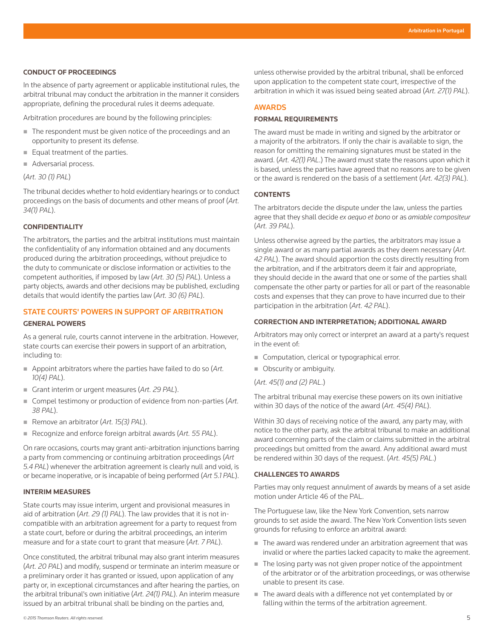#### **CONDUCT OF PROCEEDINGS**

In the absence of party agreement or applicable institutional rules, the arbitral tribunal may conduct the arbitration in the manner it considers appropriate, defining the procedural rules it deems adequate.

Arbitration procedures are bound by the following principles:

- The respondent must be given notice of the proceedings and an opportunity to present its defense.
- Equal treatment of the parties.
- Adversarial process.

(*Art. 30 (1) PAL*)

The tribunal decides whether to hold evidentiary hearings or to conduct proceedings on the basis of documents and other means of proof (*Art. 34(1) PAL*).

# **CONFIDENTIALITY**

The arbitrators, the parties and the arbitral institutions must maintain the confidentiality of any information obtained and any documents produced during the arbitration proceedings, without prejudice to the duty to communicate or disclose information or activities to the competent authorities, if imposed by law (*Art. 30 (5) PAL*). Unless a party objects, awards and other decisions may be published, excluding details that would identify the parties law (*Art. 30 (6) PAL*).

# STATE COURTS' POWERS IN SUPPORT OF ARBITRATION

#### **GENERAL POWERS**

As a general rule, courts cannot intervene in the arbitration. However, state courts can exercise their powers in support of an arbitration, including to:

- Appoint arbitrators where the parties have failed to do so (*Art. 10(4) PAL*).
- Grant interim or urgent measures (*Art. 29 PAL*).
- Compel testimony or production of evidence from non-parties (Art. *38 PAL*).
- Remove an arbitrator (*Art. 15(3) PAL*).
- Recognize and enforce foreign arbitral awards (*Art. 55 PAL*).

On rare occasions, courts may grant anti-arbitration injunctions barring a party from commencing or continuing arbitration proceedings (*Art 5.4 PAL*) whenever the arbitration agreement is clearly null and void, is or became inoperative, or is incapable of being performed (*Art 5.1 PAL*).

#### **INTERIM MEASURES**

State courts may issue interim, urgent and provisional measures in aid of arbitration (*Art. 29 (1) PAL*). The law provides that it is not incompatible with an arbitration agreement for a party to request from a state court, before or during the arbitral proceedings, an interim measure and for a state court to grant that measure (*Art. 7 PAL*).

Once constituted, the arbitral tribunal may also grant interim measures (*Art. 20 PAL*) and modify, suspend or terminate an interim measure or a preliminary order it has granted or issued, upon application of any party or, in exceptional circumstances and after hearing the parties, on the arbitral tribunal's own initiative (*Art. 24(1) PAL*). An interim measure issued by an arbitral tribunal shall be binding on the parties and,

unless otherwise provided by the arbitral tribunal, shall be enforced upon application to the competent state court, irrespective of the arbitration in which it was issued being seated abroad (*Art. 27(1) PAL*).

#### AWARDS

#### **FORMAL REQUIREMENTS**

The award must be made in writing and signed by the arbitrator or a majority of the arbitrators. If only the chair is available to sign, the reason for omitting the remaining signatures must be stated in the award. (*Art. 42(1) PAL*.) The award must state the reasons upon which it is based, unless the parties have agreed that no reasons are to be given or the award is rendered on the basis of a settlement (*Art. 42(3) PAL*).

# **CONTENTS**

The arbitrators decide the dispute under the law, unless the parties agree that they shall decide *ex aequo et bono* or as *amiable compositeur*  (*Art. 39 PAL*).

Unless otherwise agreed by the parties, the arbitrators may issue a single award or as many partial awards as they deem necessary (*Art. 42 PAL*). The award should apportion the costs directly resulting from the arbitration, and if the arbitrators deem it fair and appropriate, they should decide in the award that one or some of the parties shall compensate the other party or parties for all or part of the reasonable costs and expenses that they can prove to have incurred due to their participation in the arbitration (*Art. 42 PAL*).

### **CORRECTION AND INTERPRETATION; ADDITIONAL AWARD**

Arbitrators may only correct or interpret an award at a party's request in the event of:

- Computation, clerical or typographical error.
- Obscurity or ambiguity.
- (*Art. 45(1) and (2) PAL*.)

The arbitral tribunal may exercise these powers on its own initiative within 30 days of the notice of the award (*Art. 45(4) PAL*).

Within 30 days of receiving notice of the award, any party may, with notice to the other party, ask the arbitral tribunal to make an additional award concerning parts of the claim or claims submitted in the arbitral proceedings but omitted from the award. Any additional award must be rendered within 30 days of the request. (*Art. 45(5) PAL*.)

#### **CHALLENGES TO AWARDS**

Parties may only request annulment of awards by means of a set aside motion under Article 46 of the PAL.

The Portuguese law, like the New York Convention, sets narrow grounds to set aside the award. The New York Convention lists seven grounds for refusing to enforce an arbitral award:

- The award was rendered under an arbitration agreement that was invalid or where the parties lacked capacity to make the agreement.
- The losing party was not given proper notice of the appointment of the arbitrator or of the arbitration proceedings, or was otherwise unable to present its case.
- The award deals with a difference not yet contemplated by or falling within the terms of the arbitration agreement.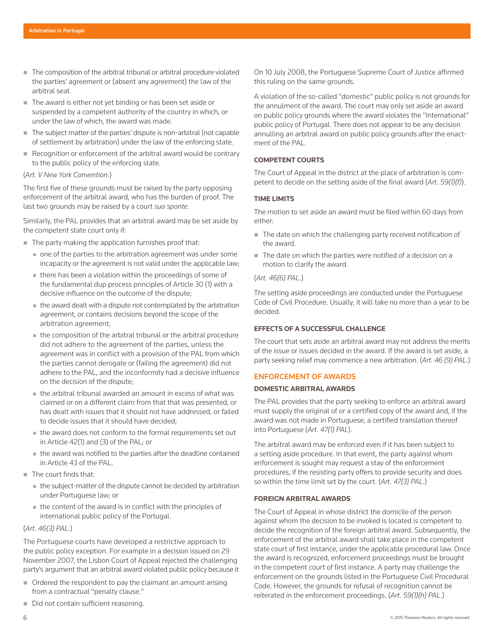- The composition of the arbitral tribunal or arbitral procedure violated the parties' agreement or (absent any agreement) the law of the arbitral seat.
- The award is either not yet binding or has been set aside or suspended by a competent authority of the country in which, or under the law of which, the award was made.
- The subject matter of the parties' dispute is non-arbitral (not capable of settlement by arbitration) under the law of the enforcing state.
- Recognition or enforcement of the arbitral award would be contrary to the public policy of the enforcing state.

#### (*Art. V New York Convention*.)

The first five of these grounds must be raised by the party opposing enforcement of the arbitral award, who has the burden of proof. The last two grounds may be raised by a court *sua sponte.*

Similarly, the PAL provides that an arbitral award may be set aside by the competent state court only if:

- $\blacksquare$  The party making the application furnishes proof that:
	- one of the parties to the arbitration agreement was under some incapacity or the agreement is not valid under the applicable law;
	- there has been a violation within the proceedings of some of the fundamental dup process principles of Article 30 (1) with a decisive influence on the outcome of the dispute;
	- the award dealt with a dispute not contemplated by the arbitration agreement, or contains decisions beyond the scope of the arbitration agreement;
	- the composition of the arbitral tribunal or the arbitral procedure did not adhere to the agreement of the parties, unless the agreement was in conflict with a provision of the PAL from which the parties cannot derogate or (failing the agreement) did not adhere to the PAL, and the inconformity had a decisive influence on the decision of the dispute;
	- the arbitral tribunal awarded an amount in excess of what was claimed or on a different claim from that that was presented, or has dealt with issues that it should not have addressed, or failed to decide issues that it should have decided;
	- $\blacksquare$  the award does not conform to the formal requirements set out in Article 42(1) and (3) of the PAL; or
	- the award was notified to the parties after the deadline contained in Article 43 of the PAL.
- The court finds that:
	- the subject-matter of the dispute cannot be decided by arbitration under Portuguese law; or
	- the content of the award is in conflict with the principles of international public policy of the Portugal.

# (*Art. 46(3) PAL.*)

The Portuguese courts have developed a restrictive approach to the public policy exception. For example in a decision issued on 29 November 2007, the Lisbon Court of Appeal rejected the challenging party's argument that an arbitral award violated public policy because it

- Ordered the respondent to pay the claimant an amount arising from a contractual "penalty clause."
- Did not contain sufficient reasoning.

On 10 July 2008, the Portuguese Supreme Court of Justice affirmed this ruling on the same grounds.

A violation of the so-called "domestic" public policy is not grounds for the annulment of the award. The court may only set aside an award on public policy grounds where the award violates the "international" public policy of Portugal. There does not appear to be any decision annulling an arbitral award on public policy grounds after the enactment of the PAL.

# **COMPETENT COURTS**

The Court of Appeal in the district at the place of arbitration is competent to decide on the setting aside of the final award (*Art. 59(1)(f)*).

# **TIME LIMITS**

The motion to set aside an award must be filed within 60 days from either:

- $\blacksquare$  The date on which the challenging party received notification of the award.
- The date on which the parties were notified of a decision on a motion to clarify the award.

# (*Art. 46(6) PAL*.)

The setting aside proceedings are conducted under the Portuguese Code of Civil Procedure. Usually, it will take no more than a year to be decided.

# **EFFECTS OF A SUCCESSFUL CHALLENGE**

The court that sets aside an arbitral award may not address the merits of the issue or issues decided in the award. If the award is set aside, a party seeking relief may commence a new arbitration. (*Art. 46 (9) PAL*.)

# ENFORCEMENT OF AWARDS

#### **DOMESTIC ARBITRAL AWARDS**

The PAL provides that the party seeking to enforce an arbitral award must supply the original of or a certified copy of the award and, if the award was not made in Portuguese, a certified translation thereof into Portuguese (*Art. 47(1) PAL*).

The arbitral award may be enforced even if it has been subject to a setting aside procedure. In that event, the party against whom enforcement is sought may request a stay of the enforcement procedures, if the resisting party offers to provide security and does so within the time limit set by the court. (*Art. 47(3) PAL*.)

# **FOREIGN ARBITRAL AWARDS**

The Court of Appeal in whose district the domicile of the person against whom the decision to be invoked is located is competent to decide the recognition of the foreign arbitral award. Subsequently, the enforcement of the arbitral award shall take place in the competent state court of first instance, under the applicable procedural law. Once the award is recognized, enforcement proceedings must be brought in the competent court of first instance. A party may challenge the enforcement on the grounds listed in the Portuguese Civil Procedural Code. However, the grounds for refusal of recognition cannot be reiterated in the enforcement proceedings. (*Art. 59(1)(h) PAL*.)